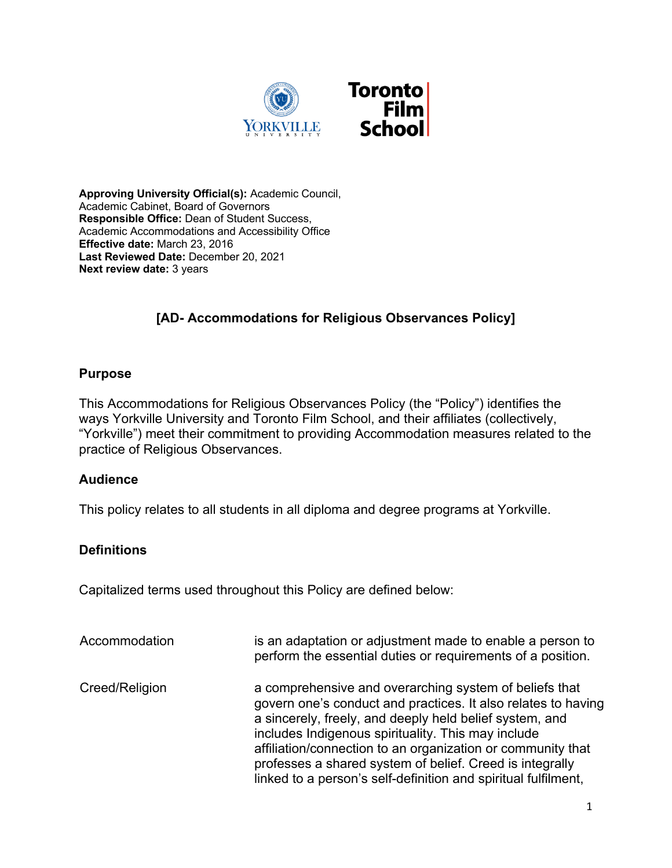

**Approving University Official(s):** Academic Council, Academic Cabinet, Board of Governors **Responsible Office:** Dean of Student Success, Academic Accommodations and Accessibility Office **Effective date:** March 23, 2016 **Last Reviewed Date:** December 20, 2021 **Next review date:** 3 years

## **[AD- Accommodations for Religious Observances Policy]**

#### **Purpose**

This Accommodations for Religious Observances Policy (the "Policy") identifies the ways Yorkville University and Toronto Film School, and their affiliates (collectively, "Yorkville") meet their commitment to providing Accommodation measures related to the practice of Religious Observances.

### **Audience**

This policy relates to all students in all diploma and degree programs at Yorkville.

### **Definitions**

Capitalized terms used throughout this Policy are defined below:

| Accommodation  | is an adaptation or adjustment made to enable a person to<br>perform the essential duties or requirements of a position.                                                                                                                                                                                                                                                                                                              |
|----------------|---------------------------------------------------------------------------------------------------------------------------------------------------------------------------------------------------------------------------------------------------------------------------------------------------------------------------------------------------------------------------------------------------------------------------------------|
| Creed/Religion | a comprehensive and overarching system of beliefs that<br>govern one's conduct and practices. It also relates to having<br>a sincerely, freely, and deeply held belief system, and<br>includes Indigenous spirituality. This may include<br>affiliation/connection to an organization or community that<br>professes a shared system of belief. Creed is integrally<br>linked to a person's self-definition and spiritual fulfilment, |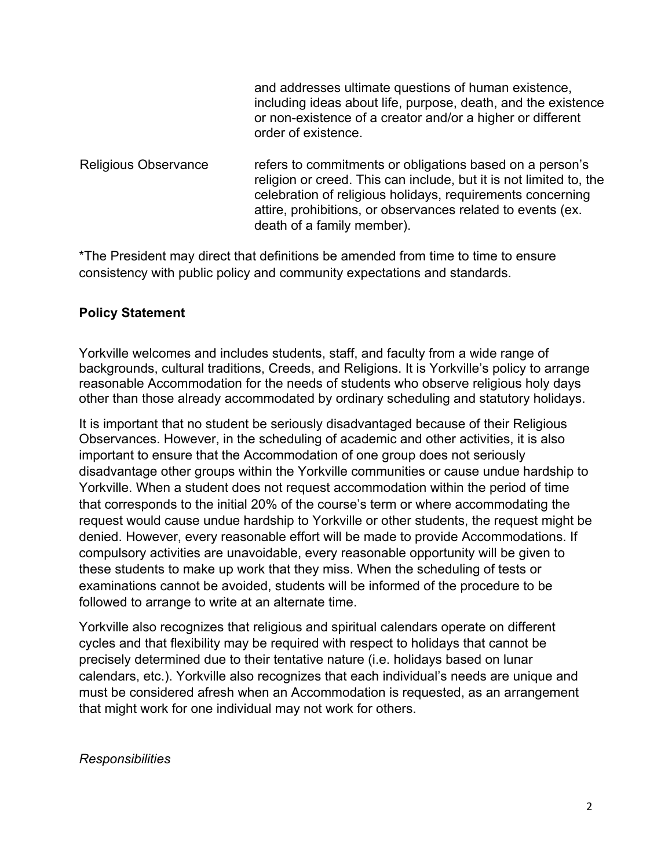|                             | and addresses ultimate questions of human existence,<br>including ideas about life, purpose, death, and the existence<br>or non-existence of a creator and/or a higher or different<br>order of existence.                                                                                |
|-----------------------------|-------------------------------------------------------------------------------------------------------------------------------------------------------------------------------------------------------------------------------------------------------------------------------------------|
| <b>Religious Observance</b> | refers to commitments or obligations based on a person's<br>religion or creed. This can include, but it is not limited to, the<br>celebration of religious holidays, requirements concerning<br>attire, prohibitions, or observances related to events (ex.<br>death of a family member). |

\*The President may direct that definitions be amended from time to time to ensure consistency with public policy and community expectations and standards.

#### **Policy Statement**

Yorkville welcomes and includes students, staff, and faculty from a wide range of backgrounds, cultural traditions, Creeds, and Religions. It is Yorkville's policy to arrange reasonable Accommodation for the needs of students who observe religious holy days other than those already accommodated by ordinary scheduling and statutory holidays.

It is important that no student be seriously disadvantaged because of their Religious Observances. However, in the scheduling of academic and other activities, it is also important to ensure that the Accommodation of one group does not seriously disadvantage other groups within the Yorkville communities or cause undue hardship to Yorkville. When a student does not request accommodation within the period of time that corresponds to the initial 20% of the course's term or where accommodating the request would cause undue hardship to Yorkville or other students, the request might be denied. However, every reasonable effort will be made to provide Accommodations. If compulsory activities are unavoidable, every reasonable opportunity will be given to these students to make up work that they miss. When the scheduling of tests or examinations cannot be avoided, students will be informed of the procedure to be followed to arrange to write at an alternate time.

Yorkville also recognizes that religious and spiritual calendars operate on different cycles and that flexibility may be required with respect to holidays that cannot be precisely determined due to their tentative nature (i.e. holidays based on lunar calendars, etc.). Yorkville also recognizes that each individual's needs are unique and must be considered afresh when an Accommodation is requested, as an arrangement that might work for one individual may not work for others.

#### *Responsibilities*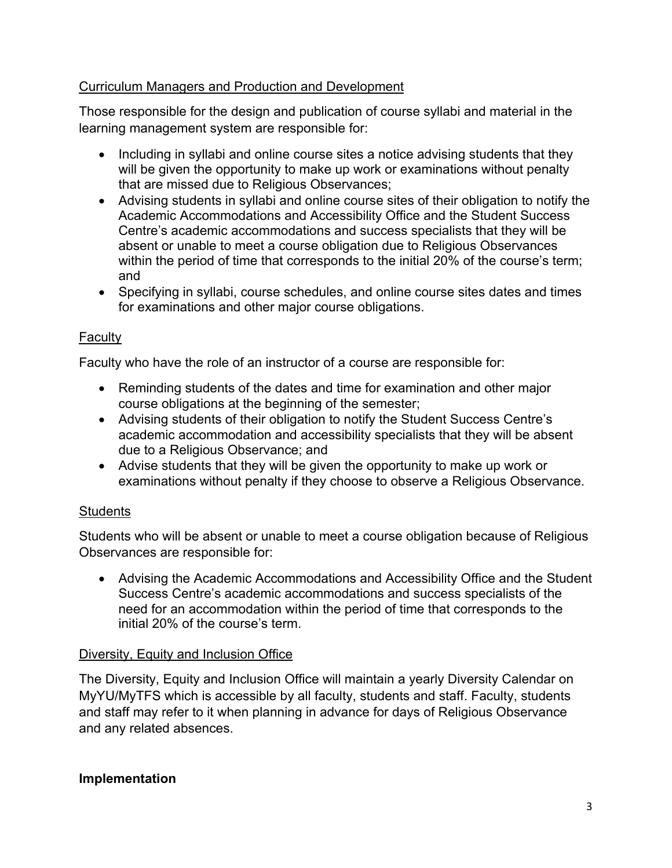### Curriculum Managers and Production and Development

Those responsible for the design and publication of course syllabi and material in the learning management system are responsible for:

- Including in syllabi and online course sites a notice advising students that they will be given the opportunity to make up work or examinations without penalty that are missed due to Religious Observances;
- Advising students in syllabi and online course sites of their obligation to notify the Academic Accommodations and Accessibility Office and the Student Success Centre's academic accommodations and success specialists that they will be absent or unable to meet a course obligation due to Religious Observances within the period of time that corresponds to the initial 20% of the course's term; and
- Specifying in syllabi, course schedules, and online course sites dates and times for examinations and other major course obligations.

### **Faculty**

Faculty who have the role of an instructor of a course are responsible for:

- Reminding students of the dates and time for examination and other major course obligations at the beginning of the semester;
- Advising students of their obligation to notify the Student Success Centre's academic accommodation and accessibility specialists that they will be absent due to a Religious Observance; and
- Advise students that they will be given the opportunity to make up work or examinations without penalty if they choose to observe a Religious Observance.

### **Students**

Students who will be absent or unable to meet a course obligation because of Religious Observances are responsible for:

• Advising the Academic Accommodations and Accessibility Office and the Student Success Centre's academic accommodations and success specialists of the need for an accommodation within the period of time that corresponds to the initial 20% of the course's term.

### Diversity, Equity and Inclusion Office

The Diversity, Equity and Inclusion Office will maintain a yearly Diversity Calendar on MyYU/MyTFS which is accessible by all faculty, students and staff. Faculty, students and staff may refer to it when planning in advance for days of Religious Observance and any related absences.

#### **Implementation**